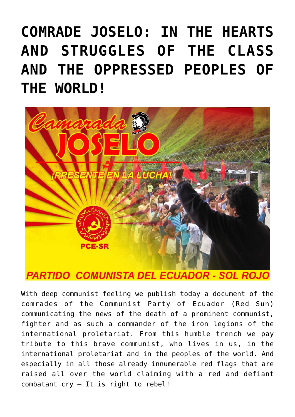# **[COMRADE JOSELO: IN THE HEARTS](https://ci-ic.org/blog/2020/11/04/comrade-joselo-in-the-hearts-and-struggles-of-the-class-and-the-oppressed-peoples-of-the-world/) [AND STRUGGLES OF THE CLASS](https://ci-ic.org/blog/2020/11/04/comrade-joselo-in-the-hearts-and-struggles-of-the-class-and-the-oppressed-peoples-of-the-world/) [AND THE OPPRESSED PEOPLES OF](https://ci-ic.org/blog/2020/11/04/comrade-joselo-in-the-hearts-and-struggles-of-the-class-and-the-oppressed-peoples-of-the-world/) [THE WORLD!](https://ci-ic.org/blog/2020/11/04/comrade-joselo-in-the-hearts-and-struggles-of-the-class-and-the-oppressed-peoples-of-the-world/)**



## **PARTIDO COMUNISTA DEL ECUADOR - SOL ROJO**

With deep communist feeling we publish today a document of the comrades of the Communist Party of Ecuador (Red Sun) communicating the news of the death of a prominent communist, fighter and as such a commander of the iron legions of the international proletariat. From this humble trench we pay tribute to this brave communist, who lives in us, in the international proletariat and in the peoples of the world. And especially in all those already innumerable red flags that are raised all over the world claiming with a red and defiant combatant cry – It is right to rebel!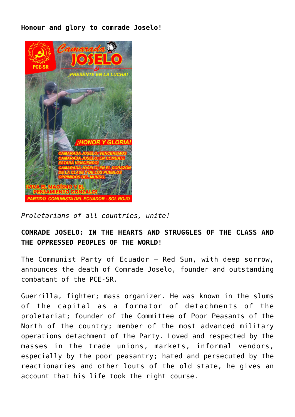#### **Honour and glory to comrade Joselo!**



*Proletarians of all countries, unite!*

### **COMRADE JOSELO: IN THE HEARTS AND STRUGGLES OF THE CLASS AND THE OPPRESSED PEOPLES OF THE WORLD!**

The Communist Party of Ecuador – Red Sun, with deep sorrow, announces the death of Comrade Joselo, founder and outstanding combatant of the PCE-SR.

Guerrilla, fighter; mass organizer. He was known in the slums of the capital as a formator of detachments of the proletariat; founder of the Committee of Poor Peasants of the North of the country; member of the most advanced military operations detachment of the Party. Loved and respected by the masses in the trade unions, markets, informal vendors, especially by the poor peasantry; hated and persecuted by the reactionaries and other louts of the old state, he gives an account that his life took the right course.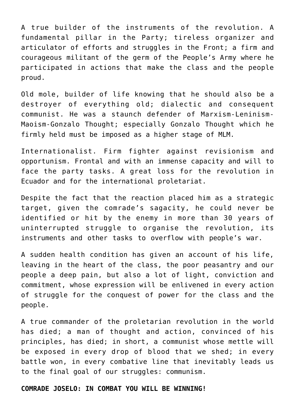A true builder of the instruments of the revolution. A fundamental pillar in the Party; tireless organizer and articulator of efforts and struggles in the Front; a firm and courageous militant of the germ of the People's Army where he participated in actions that make the class and the people proud.

Old mole, builder of life knowing that he should also be a destroyer of everything old; dialectic and consequent communist. He was a staunch defender of Marxism-Leninism-Maoism-Gonzalo Thought; especially Gonzalo Thought which he firmly held must be imposed as a higher stage of MLM.

Internationalist. Firm fighter against revisionism and opportunism. Frontal and with an immense capacity and will to face the party tasks. A great loss for the revolution in Ecuador and for the international proletariat.

Despite the fact that the reaction placed him as a strategic target, given the comrade's sagacity, he could never be identified or hit by the enemy in more than 30 years of uninterrupted struggle to organise the revolution, its instruments and other tasks to overflow with people's war.

A sudden health condition has given an account of his life, leaving in the heart of the class, the poor peasantry and our people a deep pain, but also a lot of light, conviction and commitment, whose expression will be enlivened in every action of struggle for the conquest of power for the class and the people.

A true commander of the proletarian revolution in the world has died; a man of thought and action, convinced of his principles, has died; in short, a communist whose mettle will be exposed in every drop of blood that we shed; in every battle won, in every combative line that inevitably leads us to the final goal of our struggles: communism.

**COMRADE JOSELO: IN COMBAT YOU WILL BE WINNING!**